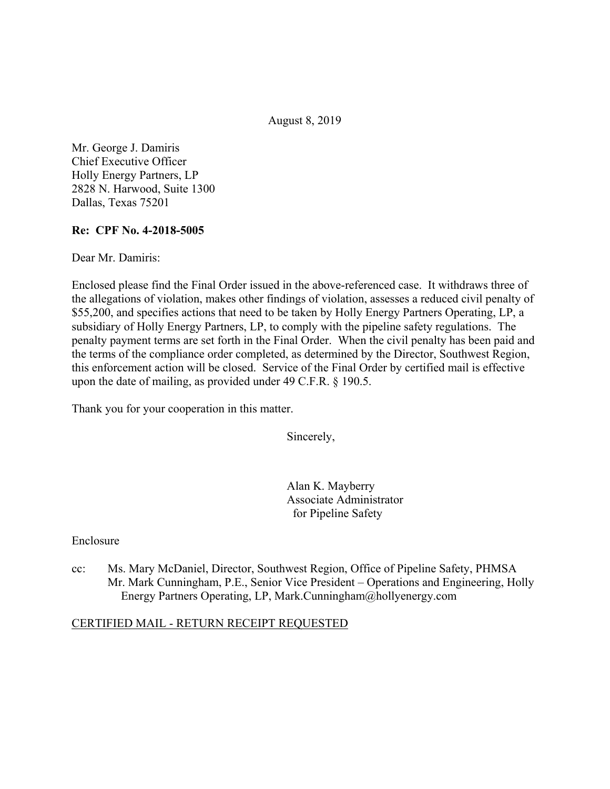August 8, 2019

Mr. George J. Damiris Chief Executive Officer Holly Energy Partners, LP 2828 N. Harwood, Suite 1300 Dallas, Texas 75201

### **Re: CPF No. 4-2018-5005**

Dear Mr. Damiris:

Enclosed please find the Final Order issued in the above-referenced case. It withdraws three of the allegations of violation, makes other findings of violation, assesses a reduced civil penalty of \$55,200, and specifies actions that need to be taken by Holly Energy Partners Operating, LP, a subsidiary of Holly Energy Partners, LP, to comply with the pipeline safety regulations. The penalty payment terms are set forth in the Final Order. When the civil penalty has been paid and the terms of the compliance order completed, as determined by the Director, Southwest Region, this enforcement action will be closed. Service of the Final Order by certified mail is effective upon the date of mailing, as provided under 49 C.F.R. § 190.5.

Thank you for your cooperation in this matter.

Sincerely,

Alan K. Mayberry Associate Administrator for Pipeline Safety

#### Enclosure

cc: Ms. Mary McDaniel, Director, Southwest Region, Office of Pipeline Safety, PHMSA Mr. Mark Cunningham, P.E., Senior Vice President – Operations and Engineering, Holly Energy Partners Operating, LP, [Mark.Cunningham@hollyenergy.com](mailto:Mark.Cunningham@hollyenergy.com)

#### CERTIFIED MAIL - RETURN RECEIPT REQUESTED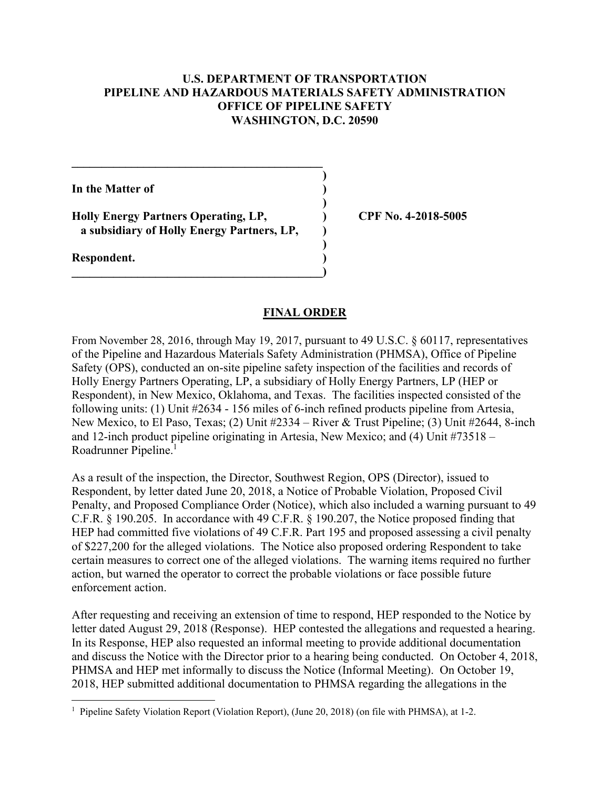### **U.S. DEPARTMENT OF TRANSPORTATION PIPELINE AND HAZARDOUS MATERIALS SAFETY ADMINISTRATION OFFICE OF PIPELINE SAFETY WASHINGTON, D.C. 20590**

**)**

 **)**

**)** 

**In the Matter of )**

**Holly Energy Partners Operating, LP, ) CPF No. 4-2018-5005 a subsidiary of Holly Energy Partners, LP, )**

**\_\_\_\_\_\_\_\_\_\_\_\_\_\_\_\_\_\_\_\_\_\_\_\_\_\_\_\_\_\_\_\_\_\_\_\_\_\_\_\_\_\_)** 

 $\mathcal{L} = \{ \mathcal{L} \}$ 

**Respondent. )** 

### **FINAL ORDER**

Roadrunner Pipeline.<sup>1</sup> From November 28, 2016, through May 19, 2017, pursuant to 49 U.S.C. § 60117, representatives of the Pipeline and Hazardous Materials Safety Administration (PHMSA), Office of Pipeline Safety (OPS), conducted an on-site pipeline safety inspection of the facilities and records of Holly Energy Partners Operating, LP, a subsidiary of Holly Energy Partners, LP (HEP or Respondent), in New Mexico, Oklahoma, and Texas. The facilities inspected consisted of the following units: (1) Unit #2634 - 156 miles of 6-inch refined products pipeline from Artesia, New Mexico, to El Paso, Texas; (2) Unit #2334 – River & Trust Pipeline; (3) Unit #2644, 8-inch and 12-inch product pipeline originating in Artesia, New Mexico; and (4) Unit #73518 –

As a result of the inspection, the Director, Southwest Region, OPS (Director), issued to Respondent, by letter dated June 20, 2018, a Notice of Probable Violation, Proposed Civil Penalty, and Proposed Compliance Order (Notice), which also included a warning pursuant to 49 C.F.R. § 190.205. In accordance with 49 C.F.R. § 190.207, the Notice proposed finding that HEP had committed five violations of 49 C.F.R. Part 195 and proposed assessing a civil penalty of \$227,200 for the alleged violations. The Notice also proposed ordering Respondent to take certain measures to correct one of the alleged violations. The warning items required no further action, but warned the operator to correct the probable violations or face possible future enforcement action.

After requesting and receiving an extension of time to respond, HEP responded to the Notice by letter dated August 29, 2018 (Response). HEP contested the allegations and requested a hearing. In its Response, HEP also requested an informal meeting to provide additional documentation and discuss the Notice with the Director prior to a hearing being conducted. On October 4, 2018, PHMSA and HEP met informally to discuss the Notice (Informal Meeting). On October 19, 2018, HEP submitted additional documentation to PHMSA regarding the allegations in the

 1 Pipeline Safety Violation Report (Violation Report), (June 20, 2018) (on file with PHMSA), at 1-2.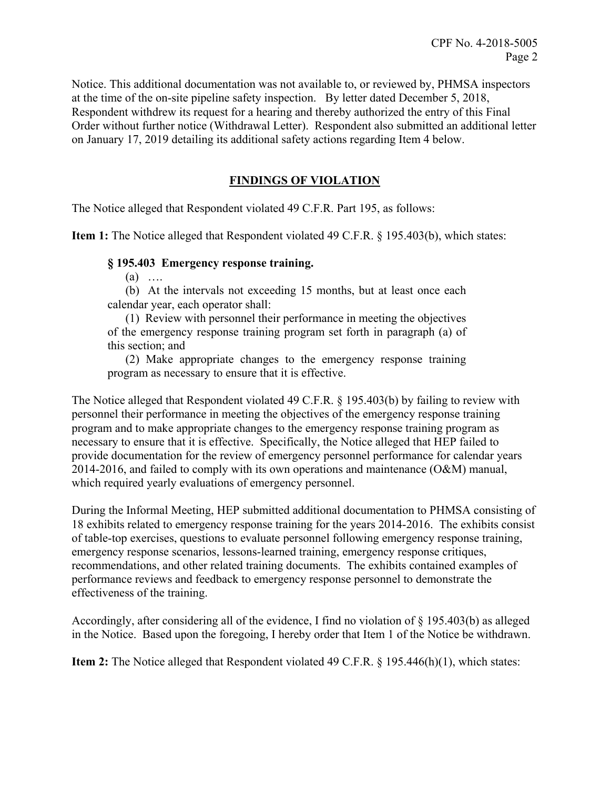Notice. This additional documentation was not available to, or reviewed by, PHMSA inspectors at the time of the on-site pipeline safety inspection. By letter dated December 5, 2018, Respondent withdrew its request for a hearing and thereby authorized the entry of this Final Order without further notice (Withdrawal Letter). Respondent also submitted an additional letter on January 17, 2019 detailing its additional safety actions regarding Item 4 below.

# **FINDINGS OF VIOLATION**

The Notice alleged that Respondent violated 49 C.F.R. Part 195, as follows:

**Item 1:** The Notice alleged that Respondent violated 49 C.F.R. § 195.403(b), which states:

#### **§ 195.403 Emergency response training.**

 $(a)$  …

(b) At the intervals not exceeding 15 months, but at least once each calendar year, each operator shall:

(1) Review with personnel their performance in meeting the objectives of the emergency response training program set forth in paragraph (a) of this section; and

(2) Make appropriate changes to the emergency response training program as necessary to ensure that it is effective.

The Notice alleged that Respondent violated 49 C.F.R. § 195.403(b) by failing to review with personnel their performance in meeting the objectives of the emergency response training program and to make appropriate changes to the emergency response training program as necessary to ensure that it is effective. Specifically, the Notice alleged that HEP failed to provide documentation for the review of emergency personnel performance for calendar years 2014-2016, and failed to comply with its own operations and maintenance (O&M) manual, which required yearly evaluations of emergency personnel.

During the Informal Meeting, HEP submitted additional documentation to PHMSA consisting of 18 exhibits related to emergency response training for the years 2014-2016. The exhibits consist of table-top exercises, questions to evaluate personnel following emergency response training, emergency response scenarios, lessons-learned training, emergency response critiques, recommendations, and other related training documents. The exhibits contained examples of performance reviews and feedback to emergency response personnel to demonstrate the effectiveness of the training.

Accordingly, after considering all of the evidence, I find no violation of § 195.403(b) as alleged in the Notice. Based upon the foregoing, I hereby order that Item 1 of the Notice be withdrawn.

**Item 2:** The Notice alleged that Respondent violated 49 C.F.R. § 195.446(h)(1), which states: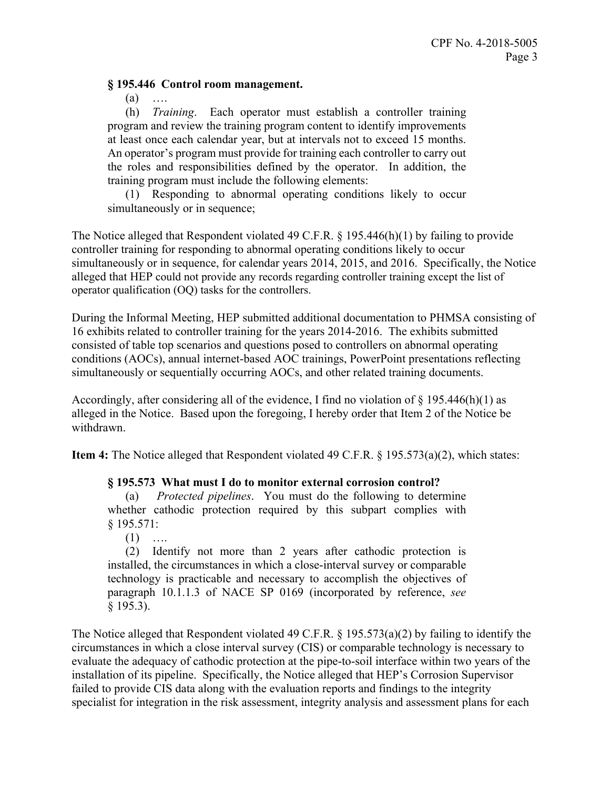#### **§ 195.446 Control room management.**

(a) ….

 An operator's program must provide for training each controller to carry out (h) *Training*. Each operator must establish a controller training program and review the training program content to identify improvements at least once each calendar year, but at intervals not to exceed 15 months. the roles and responsibilities defined by the operator. In addition, the training program must include the following elements:

(1) Responding to abnormal operating conditions likely to occur simultaneously or in sequence;

The Notice alleged that Respondent violated 49 C.F.R. § 195.446(h)(1) by failing to provide controller training for responding to abnormal operating conditions likely to occur simultaneously or in sequence, for calendar years 2014, 2015, and 2016. Specifically, the Notice alleged that HEP could not provide any records regarding controller training except the list of operator qualification (OQ) tasks for the controllers.

During the Informal Meeting, HEP submitted additional documentation to PHMSA consisting of 16 exhibits related to controller training for the years 2014-2016. The exhibits submitted consisted of table top scenarios and questions posed to controllers on abnormal operating conditions (AOCs), annual internet-based AOC trainings, PowerPoint presentations reflecting simultaneously or sequentially occurring AOCs, and other related training documents.

Accordingly, after considering all of the evidence, I find no violation of  $\S$  195.446(h)(1) as alleged in the Notice. Based upon the foregoing, I hereby order that Item 2 of the Notice be withdrawn.

**Item 4:** The Notice alleged that Respondent violated 49 C.F.R. § 195.573(a)(2), which states:

## **§ 195.573 What must I do to monitor external corrosion control?**

(a) *Protected pipelines*. You must do the following to determine whether cathodic protection required by this subpart complies with § 195.571:

 $(1)$  …

(2) Identify not more than 2 years after cathodic protection is installed, the circumstances in which a close-interval survey or comparable technology is practicable and necessary to accomplish the objectives of paragraph 10.1.1.3 of NACE SP 0169 (incorporated by reference, *see*  § 195.3).

The Notice alleged that Respondent violated 49 C.F.R. § 195.573(a)(2) by failing to identify the circumstances in which a close interval survey (CIS) or comparable technology is necessary to evaluate the adequacy of cathodic protection at the pipe-to-soil interface within two years of the installation of its pipeline. Specifically, the Notice alleged that HEP's Corrosion Supervisor failed to provide CIS data along with the evaluation reports and findings to the integrity specialist for integration in the risk assessment, integrity analysis and assessment plans for each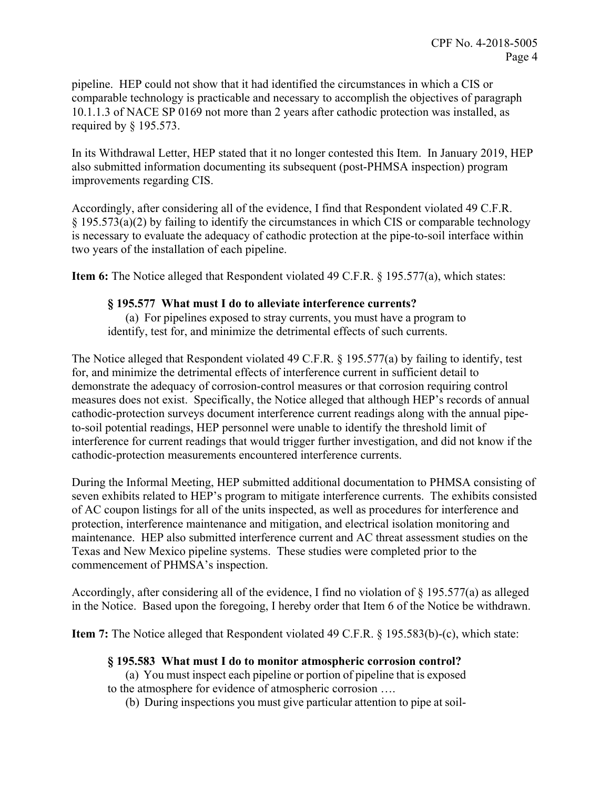pipeline. HEP could not show that it had identified the circumstances in which a CIS or comparable technology is practicable and necessary to accomplish the objectives of paragraph 10.1.1.3 of NACE SP 0169 not more than 2 years after cathodic protection was installed, as required by § 195.573.

In its Withdrawal Letter, HEP stated that it no longer contested this Item. In January 2019, HEP also submitted information documenting its subsequent (post-PHMSA inspection) program improvements regarding CIS.

Accordingly, after considering all of the evidence, I find that Respondent violated 49 C.F.R. § 195.573(a)(2) by failing to identify the circumstances in which CIS or comparable technology is necessary to evaluate the adequacy of cathodic protection at the pipe-to-soil interface within two years of the installation of each pipeline.

**Item 6:** The Notice alleged that Respondent violated 49 C.F.R. § 195.577(a), which states:

### **§ 195.577 What must I do to alleviate interference currents?**

(a) For pipelines exposed to stray currents, you must have a program to identify, test for, and minimize the detrimental effects of such currents.

The Notice alleged that Respondent violated 49 C.F.R. § 195.577(a) by failing to identify, test for, and minimize the detrimental effects of interference current in sufficient detail to demonstrate the adequacy of corrosion-control measures or that corrosion requiring control measures does not exist. Specifically, the Notice alleged that although HEP's records of annual cathodic-protection surveys document interference current readings along with the annual pipeto-soil potential readings, HEP personnel were unable to identify the threshold limit of interference for current readings that would trigger further investigation, and did not know if the cathodic-protection measurements encountered interference currents.

During the Informal Meeting, HEP submitted additional documentation to PHMSA consisting of seven exhibits related to HEP's program to mitigate interference currents. The exhibits consisted of AC coupon listings for all of the units inspected, as well as procedures for interference and protection, interference maintenance and mitigation, and electrical isolation monitoring and maintenance. HEP also submitted interference current and AC threat assessment studies on the Texas and New Mexico pipeline systems. These studies were completed prior to the commencement of PHMSA's inspection.

Accordingly, after considering all of the evidence, I find no violation of § 195.577(a) as alleged in the Notice. Based upon the foregoing, I hereby order that Item 6 of the Notice be withdrawn.

**Item 7:** The Notice alleged that Respondent violated 49 C.F.R. § 195.583(b)-(c), which state:

## **§ 195.583 What must I do to monitor atmospheric corrosion control?**

(a) You must inspect each pipeline or portion of pipeline that is exposed

to the atmosphere for evidence of atmospheric corrosion ….

(b) During inspections you must give particular attention to pipe at soil-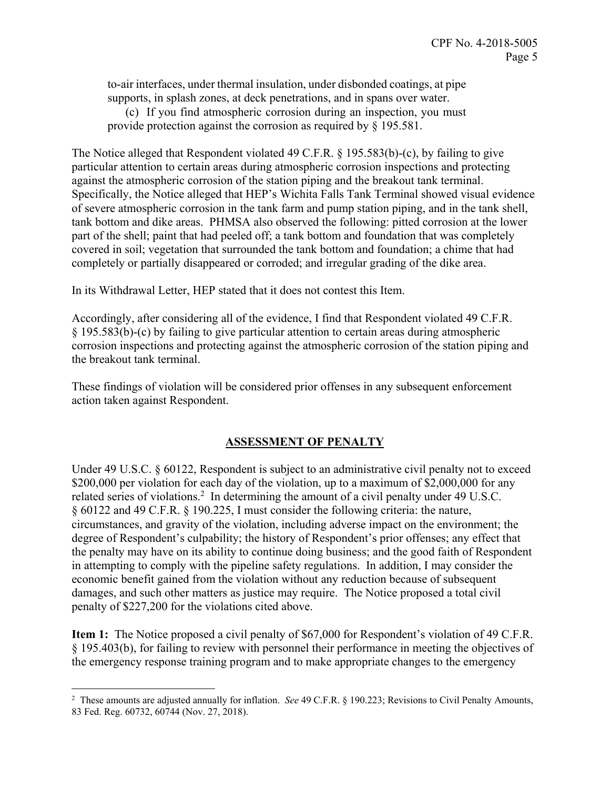to-air interfaces, under thermal insulation, under disbonded coatings, at pipe supports, in splash zones, at deck penetrations, and in spans over water.

(c) If you find atmospheric corrosion during an inspection, you must provide protection against the corrosion as required by § 195.581.

The Notice alleged that Respondent violated 49 C.F.R. § 195.583(b)-(c), by failing to give particular attention to certain areas during atmospheric corrosion inspections and protecting against the atmospheric corrosion of the station piping and the breakout tank terminal. Specifically, the Notice alleged that HEP's Wichita Falls Tank Terminal showed visual evidence of severe atmospheric corrosion in the tank farm and pump station piping, and in the tank shell, tank bottom and dike areas. PHMSA also observed the following: pitted corrosion at the lower part of the shell; paint that had peeled off; a tank bottom and foundation that was completely covered in soil; vegetation that surrounded the tank bottom and foundation; a chime that had completely or partially disappeared or corroded; and irregular grading of the dike area.

In its Withdrawal Letter, HEP stated that it does not contest this Item.

Accordingly, after considering all of the evidence, I find that Respondent violated 49 C.F.R. § 195.583(b)-(c) by failing to give particular attention to certain areas during atmospheric corrosion inspections and protecting against the atmospheric corrosion of the station piping and the breakout tank terminal.

These findings of violation will be considered prior offenses in any subsequent enforcement action taken against Respondent.

## **ASSESSMENT OF PENALTY**

Under 49 U.S.C. § 60122, Respondent is subject to an administrative civil penalty not to exceed \$200,000 per violation for each day of the violation, up to a maximum of \$2,000,000 for any related series of violations.<sup>2</sup> In determining the amount of a civil penalty under 49 U.S.C. § 60122 and 49 C.F.R. § 190.225, I must consider the following criteria: the nature, circumstances, and gravity of the violation, including adverse impact on the environment; the degree of Respondent's culpability; the history of Respondent's prior offenses; any effect that the penalty may have on its ability to continue doing business; and the good faith of Respondent in attempting to comply with the pipeline safety regulations. In addition, I may consider the economic benefit gained from the violation without any reduction because of subsequent damages, and such other matters as justice may require. The Notice proposed a total civil penalty of \$227,200 for the violations cited above.

**Item 1:** The Notice proposed a civil penalty of \$67,000 for Respondent's violation of 49 C.F.R. § 195.403(b), for failing to review with personnel their performance in meeting the objectives of the emergency response training program and to make appropriate changes to the emergency

 $\overline{a}$ 

<sup>2</sup> These amounts are adjusted annually for inflation. *See* 49 C.F.R. § 190.223; Revisions to Civil Penalty Amounts, 83 Fed. Reg. 60732, 60744 (Nov. 27, 2018).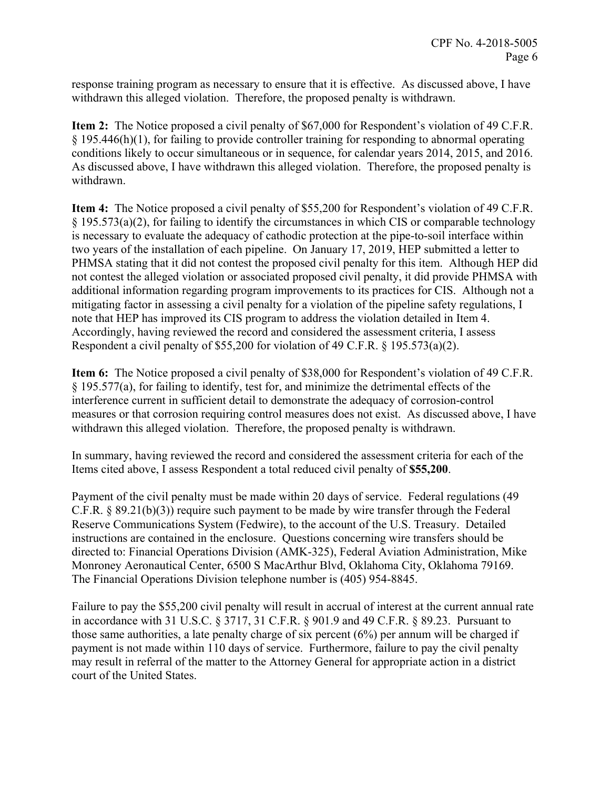response training program as necessary to ensure that it is effective. As discussed above, I have withdrawn this alleged violation. Therefore, the proposed penalty is withdrawn.

**Item 2:** The Notice proposed a civil penalty of \$67,000 for Respondent's violation of 49 C.F.R. § 195.446(h)(1), for failing to provide controller training for responding to abnormal operating conditions likely to occur simultaneous or in sequence, for calendar years 2014, 2015, and 2016. As discussed above, I have withdrawn this alleged violation. Therefore, the proposed penalty is withdrawn.

**Item 4:** The Notice proposed a civil penalty of \$55,200 for Respondent's violation of 49 C.F.R. § 195.573(a)(2), for failing to identify the circumstances in which CIS or comparable technology is necessary to evaluate the adequacy of cathodic protection at the pipe-to-soil interface within two years of the installation of each pipeline. On January 17, 2019, HEP submitted a letter to PHMSA stating that it did not contest the proposed civil penalty for this item. Although HEP did not contest the alleged violation or associated proposed civil penalty, it did provide PHMSA with additional information regarding program improvements to its practices for CIS. Although not a mitigating factor in assessing a civil penalty for a violation of the pipeline safety regulations, I note that HEP has improved its CIS program to address the violation detailed in Item 4. Accordingly, having reviewed the record and considered the assessment criteria, I assess Respondent a civil penalty of \$55,200 for violation of 49 C.F.R. § 195.573(a)(2).

**Item 6:** The Notice proposed a civil penalty of \$38,000 for Respondent's violation of 49 C.F.R. § 195.577(a), for failing to identify, test for, and minimize the detrimental effects of the interference current in sufficient detail to demonstrate the adequacy of corrosion-control measures or that corrosion requiring control measures does not exist. As discussed above, I have withdrawn this alleged violation. Therefore, the proposed penalty is withdrawn.

In summary, having reviewed the record and considered the assessment criteria for each of the Items cited above, I assess Respondent a total reduced civil penalty of **\$55,200**.

Payment of the civil penalty must be made within 20 days of service. Federal regulations (49 C.F.R. § 89.21(b)(3)) require such payment to be made by wire transfer through the Federal Reserve Communications System (Fedwire), to the account of the U.S. Treasury. Detailed instructions are contained in the enclosure. Questions concerning wire transfers should be directed to: Financial Operations Division (AMK-325), Federal Aviation Administration, Mike Monroney Aeronautical Center, 6500 S MacArthur Blvd, Oklahoma City, Oklahoma 79169. The Financial Operations Division telephone number is (405) 954-8845.

Failure to pay the \$55,200 civil penalty will result in accrual of interest at the current annual rate in accordance with 31 U.S.C. § 3717, 31 C.F.R. § 901.9 and 49 C.F.R. § 89.23. Pursuant to those same authorities, a late penalty charge of six percent (6%) per annum will be charged if payment is not made within 110 days of service. Furthermore, failure to pay the civil penalty may result in referral of the matter to the Attorney General for appropriate action in a district court of the United States.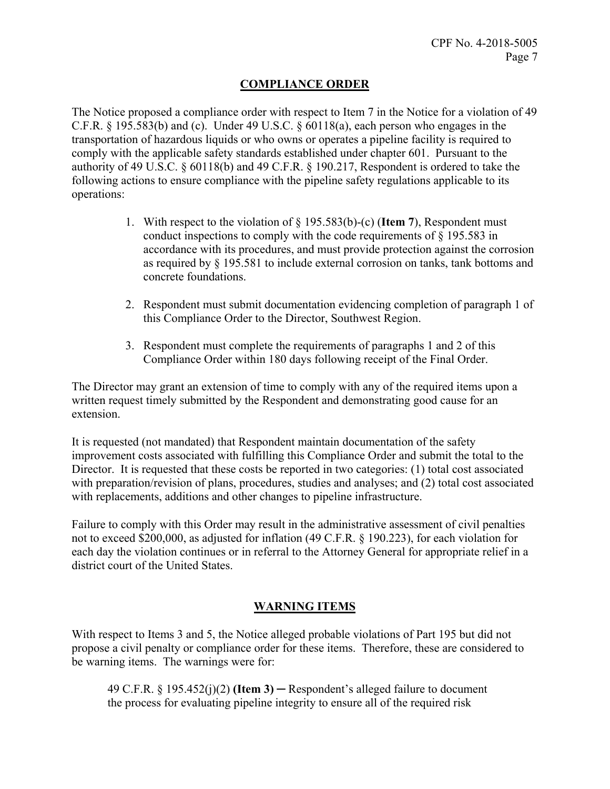### **COMPLIANCE ORDER**

The Notice proposed a compliance order with respect to Item 7 in the Notice for a violation of 49 C.F.R. § 195.583(b) and (c). Under 49 U.S.C. § 60118(a), each person who engages in the transportation of hazardous liquids or who owns or operates a pipeline facility is required to comply with the applicable safety standards established under chapter 601. Pursuant to the authority of 49 U.S.C. § 60118(b) and 49 C.F.R. § 190.217, Respondent is ordered to take the following actions to ensure compliance with the pipeline safety regulations applicable to its operations:

- 1. With respect to the violation of § 195.583(b)-(c) (**Item 7**), Respondent must conduct inspections to comply with the code requirements of § 195.583 in accordance with its procedures, and must provide protection against the corrosion as required by § 195.581 to include external corrosion on tanks, tank bottoms and concrete foundations.
- 2. Respondent must submit documentation evidencing completion of paragraph 1 of this Compliance Order to the Director, Southwest Region.
- 3. Respondent must complete the requirements of paragraphs 1 and 2 of this Compliance Order within 180 days following receipt of the Final Order.

The Director may grant an extension of time to comply with any of the required items upon a written request timely submitted by the Respondent and demonstrating good cause for an extension.

It is requested (not mandated) that Respondent maintain documentation of the safety improvement costs associated with fulfilling this Compliance Order and submit the total to the Director. It is requested that these costs be reported in two categories: (1) total cost associated with preparation/revision of plans, procedures, studies and analyses; and (2) total cost associated with replacements, additions and other changes to pipeline infrastructure.

Failure to comply with this Order may result in the administrative assessment of civil penalties not to exceed \$200,000, as adjusted for inflation (49 C.F.R. § 190.223), for each violation for each day the violation continues or in referral to the Attorney General for appropriate relief in a district court of the United States.

## **WARNING ITEMS**

With respect to Items 3 and 5, the Notice alleged probable violations of Part 195 but did not propose a civil penalty or compliance order for these items. Therefore, these are considered to be warning items. The warnings were for:

49 C.F.R. § 195.452(j)(2) **(Item 3)** ─ Respondent's alleged failure to document the process for evaluating pipeline integrity to ensure all of the required risk